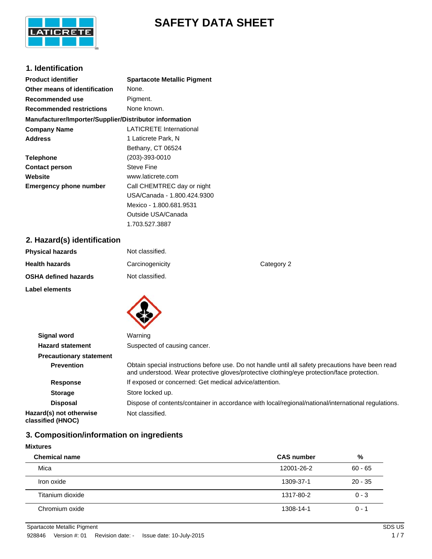

# **SAFETY DATA SHEET**

# **1. Identification**

| <b>Product identifier</b>                              | <b>Spartacote Metallic Pigment</b> |
|--------------------------------------------------------|------------------------------------|
| Other means of identification                          | None.                              |
| Recommended use                                        | Pigment.                           |
| <b>Recommended restrictions</b>                        | None known.                        |
| Manufacturer/Importer/Supplier/Distributor information |                                    |
| <b>Company Name</b>                                    | <b>LATICRETE International</b>     |
| <b>Address</b>                                         | 1 Laticrete Park, N                |
|                                                        | Bethany, CT 06524                  |
| <b>Telephone</b>                                       | (203)-393-0010                     |
| <b>Contact person</b>                                  | Steve Fine                         |
| Website                                                | www.laticrete.com                  |
| <b>Emergency phone number</b>                          | Call CHEMTREC day or night         |
|                                                        | USA/Canada - 1.800.424.9300        |
|                                                        | Mexico - 1.800.681.9531            |
|                                                        | Outside USA/Canada                 |

# **2. Hazard(s) identification**

| Category 2 |
|------------|
|            |
|            |

1.703.527.3887

| Signal word                                  | Warning                                                                                                                                                                                         |
|----------------------------------------------|-------------------------------------------------------------------------------------------------------------------------------------------------------------------------------------------------|
| <b>Hazard statement</b>                      | Suspected of causing cancer.                                                                                                                                                                    |
| <b>Precautionary statement</b>               |                                                                                                                                                                                                 |
| <b>Prevention</b>                            | Obtain special instructions before use. Do not handle until all safety precautions have been read<br>and understood. Wear protective gloves/protective clothing/eye protection/face protection. |
| <b>Response</b>                              | If exposed or concerned: Get medical advice/attention.                                                                                                                                          |
| <b>Storage</b>                               | Store locked up.                                                                                                                                                                                |
| <b>Disposal</b>                              | Dispose of contents/container in accordance with local/regional/national/international regulations.                                                                                             |
| Hazard(s) not otherwise<br>classified (HNOC) | Not classified.                                                                                                                                                                                 |

# **3. Composition/information on ingredients**

### **Mixtures**

| <b>Chemical name</b> | <b>CAS number</b> | %         |
|----------------------|-------------------|-----------|
| Mica                 | 12001-26-2        | $60 - 65$ |
| Iron oxide           | 1309-37-1         | $20 - 35$ |
| Titanium dioxide     | 1317-80-2         | $0 - 3$   |
| Chromium oxide       | 1308-14-1         | $0 - 1$   |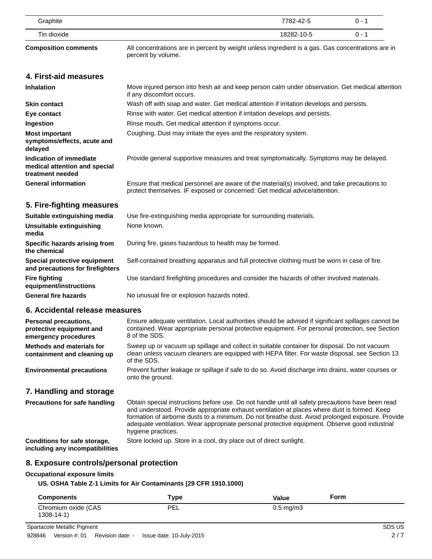| Graphite                                                                         | 7782-42-5<br>$0 - 1$                                                                                                                                                                                                    |
|----------------------------------------------------------------------------------|-------------------------------------------------------------------------------------------------------------------------------------------------------------------------------------------------------------------------|
| Tin dioxide                                                                      | 18282-10-5<br>$0 - 1$                                                                                                                                                                                                   |
| <b>Composition comments</b>                                                      | All concentrations are in percent by weight unless ingredient is a gas. Gas concentrations are in<br>percent by volume.                                                                                                 |
| 4. First-aid measures                                                            |                                                                                                                                                                                                                         |
| <b>Inhalation</b>                                                                | Move injured person into fresh air and keep person calm under observation. Get medical attention<br>if any discomfort occurs.                                                                                           |
| <b>Skin contact</b>                                                              | Wash off with soap and water. Get medical attention if irritation develops and persists.                                                                                                                                |
| Eye contact                                                                      | Rinse with water. Get medical attention if irritation develops and persists.                                                                                                                                            |
| Ingestion                                                                        | Rinse mouth. Get medical attention if symptoms occur.                                                                                                                                                                   |
| <b>Most important</b><br>symptoms/effects, acute and<br>delayed                  | Coughing. Dust may irritate the eyes and the respiratory system.                                                                                                                                                        |
| Indication of immediate<br>medical attention and special<br>treatment needed     | Provide general supportive measures and treat symptomatically. Symptoms may be delayed.                                                                                                                                 |
| <b>General information</b>                                                       | Ensure that medical personnel are aware of the material(s) involved, and take precautions to<br>protect themselves. IF exposed or concerned: Get medical advice/attention.                                              |
| 5. Fire-fighting measures                                                        |                                                                                                                                                                                                                         |
| Suitable extinguishing media                                                     | Use fire-extinguishing media appropriate for surrounding materials.                                                                                                                                                     |
| <b>Unsuitable extinguishing</b><br>media                                         | None known.                                                                                                                                                                                                             |
| Specific hazards arising from<br>the chemical                                    | During fire, gases hazardous to health may be formed.                                                                                                                                                                   |
| Special protective equipment<br>and precautions for firefighters                 | Self-contained breathing apparatus and full protective clothing must be worn in case of fire.                                                                                                                           |
| <b>Fire fighting</b><br>equipment/instructions                                   | Use standard firefighting procedures and consider the hazards of other involved materials.                                                                                                                              |
| <b>General fire hazards</b>                                                      | No unusual fire or explosion hazards noted.                                                                                                                                                                             |
| 6. Accidental release measures                                                   |                                                                                                                                                                                                                         |
| <b>Personal precautions,</b><br>protective equipment and<br>emergency procedures | Ensure adequate ventilation. Local authorities should be advised if significant spillages cannot be<br>contained. Wear appropriate personal protective equipment. For personal protection, see Section<br>8 of the SDS. |
| <b>Methods and materials for</b><br>containment and cleaning up                  | Sweep up or vacuum up spillage and collect in suitable container for disposal. Do not vacuum<br>clean unless vacuum cleaners are equipped with HEPA filter. For waste disposal, see Section 13<br>of the SDS.           |
| <b>Environmental precautions</b>                                                 | Prevent further leakage or spillage if safe to do so. Avoid discharge into drains, water courses or                                                                                                                     |

# **7. Handling and storage**

| <b>Precautions for safe handling</b>                            | Obtain special instructions before use. Do not handle until all safety precautions have been read<br>and understood. Provide appropriate exhaust ventilation at places where dust is formed. Keep<br>formation of airborne dusts to a minimum. Do not breathe dust. Avoid prolonged exposure. Provide<br>adequate ventilation. Wear appropriate personal protective equipment. Observe good industrial<br>hygiene practices. |
|-----------------------------------------------------------------|------------------------------------------------------------------------------------------------------------------------------------------------------------------------------------------------------------------------------------------------------------------------------------------------------------------------------------------------------------------------------------------------------------------------------|
| Conditions for safe storage,<br>including any incompatibilities | Store locked up. Store in a cool, dry place out of direct sunlight.                                                                                                                                                                                                                                                                                                                                                          |

# **8. Exposure controls/personal protection**

#### **Occupational exposure limits**

### **US. OSHA Table Z-1 Limits for Air Contaminants (29 CFR 1910.1000)**

onto the ground.

| <b>Components</b>                      | туре | Form<br><b>Value</b> |  |
|----------------------------------------|------|----------------------|--|
| Chromium oxide (CAS<br>$1308 - 14 - 1$ | PEL  | $0.5 \text{ mg/m}$ 3 |  |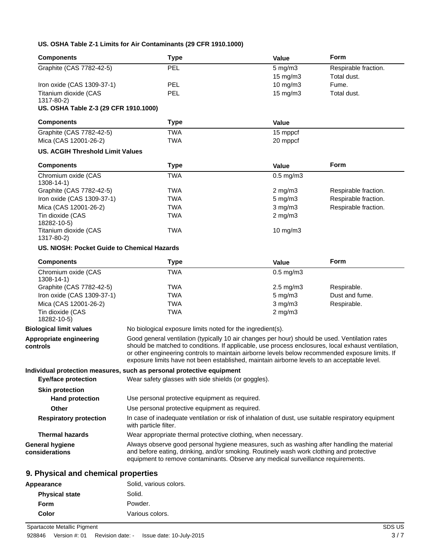### **US. OSHA Table Z-1 Limits for Air Contaminants (29 CFR 1910.1000)**

| <b>Components</b>                           | <b>Type</b>                                                                                                                                                                                                                                                                                                                                                                                            | Value             | <b>Form</b>          |
|---------------------------------------------|--------------------------------------------------------------------------------------------------------------------------------------------------------------------------------------------------------------------------------------------------------------------------------------------------------------------------------------------------------------------------------------------------------|-------------------|----------------------|
| Graphite (CAS 7782-42-5)                    | PEL                                                                                                                                                                                                                                                                                                                                                                                                    | $5$ mg/m $3$      | Respirable fraction. |
|                                             |                                                                                                                                                                                                                                                                                                                                                                                                        | 15 mg/m3          | Total dust.          |
| Iron oxide (CAS 1309-37-1)                  | <b>PEL</b>                                                                                                                                                                                                                                                                                                                                                                                             | $10$ mg/m $3$     | Fume.                |
| Titanium dioxide (CAS<br>1317-80-2)         | PEL                                                                                                                                                                                                                                                                                                                                                                                                    | $15 \text{ mg/m}$ | Total dust.          |
| US. OSHA Table Z-3 (29 CFR 1910.1000)       |                                                                                                                                                                                                                                                                                                                                                                                                        |                   |                      |
| <b>Components</b>                           | <b>Type</b>                                                                                                                                                                                                                                                                                                                                                                                            | Value             |                      |
| Graphite (CAS 7782-42-5)                    | <b>TWA</b>                                                                                                                                                                                                                                                                                                                                                                                             | 15 mppcf          |                      |
| Mica (CAS 12001-26-2)                       | <b>TWA</b>                                                                                                                                                                                                                                                                                                                                                                                             | 20 mppcf          |                      |
| <b>US. ACGIH Threshold Limit Values</b>     |                                                                                                                                                                                                                                                                                                                                                                                                        |                   |                      |
| <b>Components</b>                           | <b>Type</b>                                                                                                                                                                                                                                                                                                                                                                                            | Value             | <b>Form</b>          |
| Chromium oxide (CAS<br>$1308 - 14 - 1$      | <b>TWA</b>                                                                                                                                                                                                                                                                                                                                                                                             | $0.5$ mg/m $3$    |                      |
| Graphite (CAS 7782-42-5)                    | <b>TWA</b>                                                                                                                                                                                                                                                                                                                                                                                             | $2$ mg/m $3$      | Respirable fraction. |
| Iron oxide (CAS 1309-37-1)                  | <b>TWA</b>                                                                                                                                                                                                                                                                                                                                                                                             | $5$ mg/m $3$      | Respirable fraction. |
| Mica (CAS 12001-26-2)                       | <b>TWA</b>                                                                                                                                                                                                                                                                                                                                                                                             | $3$ mg/m $3$      | Respirable fraction. |
| Tin dioxide (CAS<br>18282-10-5)             | <b>TWA</b>                                                                                                                                                                                                                                                                                                                                                                                             | $2$ mg/m $3$      |                      |
| Titanium dioxide (CAS<br>1317-80-2)         | <b>TWA</b>                                                                                                                                                                                                                                                                                                                                                                                             | 10 mg/m3          |                      |
| US. NIOSH: Pocket Guide to Chemical Hazards |                                                                                                                                                                                                                                                                                                                                                                                                        |                   |                      |
| <b>Components</b>                           | <b>Type</b>                                                                                                                                                                                                                                                                                                                                                                                            | Value             | <b>Form</b>          |
| Chromium oxide (CAS<br>$1308 - 14 - 1$      | <b>TWA</b>                                                                                                                                                                                                                                                                                                                                                                                             | $0.5$ mg/m $3$    |                      |
| Graphite (CAS 7782-42-5)                    | <b>TWA</b>                                                                                                                                                                                                                                                                                                                                                                                             | $2.5$ mg/m $3$    | Respirable.          |
| Iron oxide (CAS 1309-37-1)                  | <b>TWA</b>                                                                                                                                                                                                                                                                                                                                                                                             | $5$ mg/m $3$      | Dust and fume.       |
| Mica (CAS 12001-26-2)                       | <b>TWA</b>                                                                                                                                                                                                                                                                                                                                                                                             | $3$ mg/m $3$      | Respirable.          |
| Tin dioxide (CAS<br>18282-10-5)             | <b>TWA</b>                                                                                                                                                                                                                                                                                                                                                                                             | $2$ mg/m $3$      |                      |
| <b>Biological limit values</b>              | No biological exposure limits noted for the ingredient(s).                                                                                                                                                                                                                                                                                                                                             |                   |                      |
| Appropriate engineering<br>controls         | Good general ventilation (typically 10 air changes per hour) should be used. Ventilation rates<br>should be matched to conditions. If applicable, use process enclosures, local exhaust ventilation,<br>or other engineering controls to maintain airborne levels below recommended exposure limits. If<br>exposure limits have not been established, maintain airborne levels to an acceptable level. |                   |                      |
|                                             | Individual protection measures, such as personal protective equipment                                                                                                                                                                                                                                                                                                                                  |                   |                      |
| <b>Eye/face protection</b>                  | Wear safety glasses with side shields (or goggles).                                                                                                                                                                                                                                                                                                                                                    |                   |                      |
| <b>Skin protection</b>                      |                                                                                                                                                                                                                                                                                                                                                                                                        |                   |                      |
| <b>Hand protection</b>                      | Use personal protective equipment as required.                                                                                                                                                                                                                                                                                                                                                         |                   |                      |
| Other                                       | Use personal protective equipment as required.                                                                                                                                                                                                                                                                                                                                                         |                   |                      |
| <b>Respiratory protection</b>               | In case of inadequate ventilation or risk of inhalation of dust, use suitable respiratory equipment<br>with particle filter.                                                                                                                                                                                                                                                                           |                   |                      |
| <b>Thermal hazards</b>                      | Wear appropriate thermal protective clothing, when necessary.                                                                                                                                                                                                                                                                                                                                          |                   |                      |
| <b>General hygiene</b><br>considerations    | Always observe good personal hygiene measures, such as washing after handling the material<br>and before eating, drinking, and/or smoking. Routinely wash work clothing and protective<br>equipment to remove contaminants. Observe any medical surveillance requirements.                                                                                                                             |                   |                      |
| <b>Q.</b> Physical and chamical proporting  |                                                                                                                                                                                                                                                                                                                                                                                                        |                   |                      |

# **9. Physical and chemical properties**

| Appearance            | Solid, various colors. |
|-----------------------|------------------------|
| <b>Physical state</b> | Solid.                 |
| Form                  | Powder.                |
| Color                 | Various colors.        |
|                       |                        |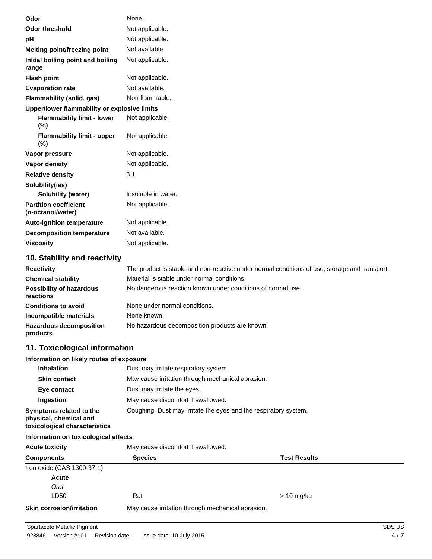| Odor                                                                               | None.                                                                                         |
|------------------------------------------------------------------------------------|-----------------------------------------------------------------------------------------------|
| <b>Odor threshold</b>                                                              | Not applicable.                                                                               |
| pH                                                                                 | Not applicable.                                                                               |
| Melting point/freezing point                                                       | Not available.                                                                                |
| Initial boiling point and boiling<br>range                                         | Not applicable.                                                                               |
| <b>Flash point</b>                                                                 | Not applicable.                                                                               |
| <b>Evaporation rate</b>                                                            | Not available.                                                                                |
| Flammability (solid, gas)                                                          | Non flammable.                                                                                |
| Upper/lower flammability or explosive limits                                       |                                                                                               |
| <b>Flammability limit - lower</b><br>(%)                                           | Not applicable.                                                                               |
| <b>Flammability limit - upper</b><br>(%)                                           | Not applicable.                                                                               |
| Vapor pressure                                                                     | Not applicable.                                                                               |
| Vapor density                                                                      | Not applicable.                                                                               |
| <b>Relative density</b>                                                            | 3.1                                                                                           |
| Solubility(ies)                                                                    |                                                                                               |
| <b>Solubility (water)</b>                                                          | Insoluble in water.                                                                           |
| <b>Partition coefficient</b><br>(n-octanol/water)                                  | Not applicable.                                                                               |
| <b>Auto-ignition temperature</b>                                                   | Not applicable.                                                                               |
| <b>Decomposition temperature</b>                                                   | Not available.                                                                                |
| <b>Viscosity</b>                                                                   | Not applicable.                                                                               |
| 10. Stability and reactivity                                                       |                                                                                               |
| <b>Reactivity</b>                                                                  | The product is stable and non-reactive under normal conditions of use, storage and transport. |
| <b>Chemical stability</b>                                                          | Material is stable under normal conditions.                                                   |
| <b>Possibility of hazardous</b><br>reactions                                       | No dangerous reaction known under conditions of normal use.                                   |
| <b>Conditions to avoid</b>                                                         | None under normal conditions.                                                                 |
| Incompatible materials                                                             | None known.                                                                                   |
| <b>Hazardous decomposition</b><br>products                                         | No hazardous decomposition products are known.                                                |
| 11. Toxicological information                                                      |                                                                                               |
| Information on likely routes of exposure                                           |                                                                                               |
| <b>Inhalation</b>                                                                  | Dust may irritate respiratory system.                                                         |
| <b>Skin contact</b>                                                                | May cause irritation through mechanical abrasion.                                             |
| Eye contact                                                                        | Dust may irritate the eyes.                                                                   |
| Ingestion                                                                          | May cause discomfort if swallowed.                                                            |
| Symptoms related to the<br>physical, chemical and<br>toxicological characteristics | Coughing. Dust may irritate the eyes and the respiratory system.                              |
| Information on toxicological effects                                               |                                                                                               |
| <b>Acute toxicity</b>                                                              | May cause discomfort if swallowed.                                                            |
| <b>Components</b>                                                                  | <b>Test Results</b><br><b>Species</b>                                                         |
| Iron oxide (CAS 1309-37-1)                                                         |                                                                                               |
| <b>Acute</b>                                                                       |                                                                                               |
| Oral                                                                               |                                                                                               |

**Skin corrosion/irritation** May cause irritation through mechanical abrasion.

LD50 Rat

> 10 mg/kg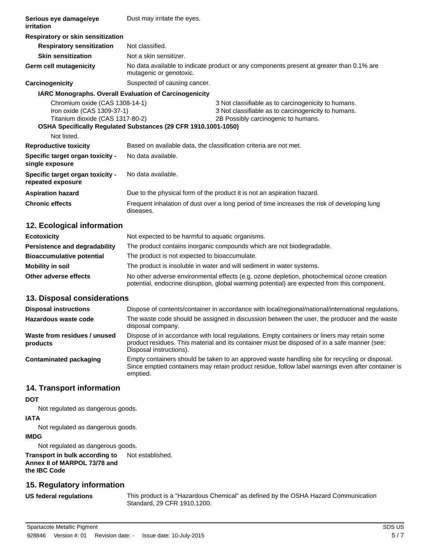| Respiratory or skin sensitization                                                                                   |                                                                                                                                                   |
|---------------------------------------------------------------------------------------------------------------------|---------------------------------------------------------------------------------------------------------------------------------------------------|
| Not classified.                                                                                                     |                                                                                                                                                   |
| Not a skin sensitizer.                                                                                              |                                                                                                                                                   |
| No data available to indicate product or any components present at greater than 0.1% are<br>mutagenic or genotoxic. |                                                                                                                                                   |
| Suspected of causing cancer.                                                                                        |                                                                                                                                                   |
| <b>IARC Monographs. Overall Evaluation of Carcinogenicity</b>                                                       |                                                                                                                                                   |
| Chromium oxide (CAS 1308-14-1)<br>Iron oxide (CAS 1309-37-1)<br>Titanium dioxide (CAS 1317-80-2)                    | 3 Not classifiable as to carcinogenicity to humans.<br>3 Not classifiable as to carcinogenicity to humans.<br>2B Possibly carcinogenic to humans. |
| OSHA Specifically Regulated Substances (29 CFR 1910.1001-1050)                                                      |                                                                                                                                                   |
|                                                                                                                     |                                                                                                                                                   |
|                                                                                                                     | Based on available data, the classification criteria are not met.                                                                                 |
| No data available.                                                                                                  |                                                                                                                                                   |
| No data available.                                                                                                  |                                                                                                                                                   |
| Due to the physical form of the product it is not an aspiration hazard.                                             |                                                                                                                                                   |
| Frequent inhalation of dust over a long period of time increases the risk of developing lung<br>diseases.           |                                                                                                                                                   |
|                                                                                                                     | Dust may irritate the eyes.                                                                                                                       |

# **12. Ecological information**

| <b>Ecotoxicity</b>               | Not expected to be harmful to aquatic organisms.                                                                                                                                           |
|----------------------------------|--------------------------------------------------------------------------------------------------------------------------------------------------------------------------------------------|
| Persistence and degradability    | The product contains inorganic compounds which are not biodegradable.                                                                                                                      |
| <b>Bioaccumulative potential</b> | The product is not expected to bioaccumulate.                                                                                                                                              |
| Mobility in soil                 | The product is insoluble in water and will sediment in water systems.                                                                                                                      |
| Other adverse effects            | No other adverse environmental effects (e.g. ozone depletion, photochemical ozone creation<br>potential, endocrine disruption, global warming potential) are expected from this component. |

### **13. Disposal considerations**

| <b>Disposal instructions</b>             | Dispose of contents/container in accordance with local/regional/national/international regulations.                                                                                                                    |
|------------------------------------------|------------------------------------------------------------------------------------------------------------------------------------------------------------------------------------------------------------------------|
| Hazardous waste code                     | The waste code should be assigned in discussion between the user, the producer and the waste<br>disposal company.                                                                                                      |
| Waste from residues / unused<br>products | Dispose of in accordance with local regulations. Empty containers or liners may retain some<br>product residues. This material and its container must be disposed of in a safe manner (see:<br>Disposal instructions). |
| Contaminated packaging                   | Empty containers should be taken to an approved waste handling site for recycling or disposal.<br>Since emptied containers may retain product residue, follow label warnings even after container is<br>emptied.       |

### **14. Transport information**

# **DOT**

Not regulated as dangerous goods.

# **IATA**

Not regulated as dangerous goods.

### **IMDG**

Not regulated as dangerous goods.

### **Transport in bulk according to** Not established. **Annex II of MARPOL 73/78 and the IBC Code**

# **15. Regulatory information**

**US federal regulations**

This product is a "Hazardous Chemical" as defined by the OSHA Hazard Communication Standard, 29 CFR 1910.1200.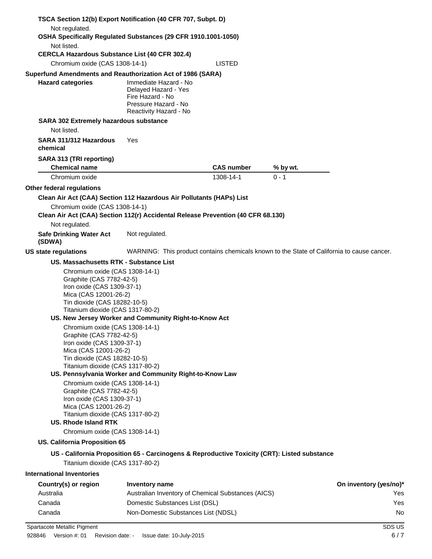| TSCA Section 12(b) Export Notification (40 CFR 707, Subpt. D)                                                                                                                                                                                                                                                                                                                                                                                                                                       |                                                                                                                     |                   |          |                        |
|-----------------------------------------------------------------------------------------------------------------------------------------------------------------------------------------------------------------------------------------------------------------------------------------------------------------------------------------------------------------------------------------------------------------------------------------------------------------------------------------------------|---------------------------------------------------------------------------------------------------------------------|-------------------|----------|------------------------|
| Not regulated.<br>OSHA Specifically Regulated Substances (29 CFR 1910.1001-1050)                                                                                                                                                                                                                                                                                                                                                                                                                    |                                                                                                                     |                   |          |                        |
| Not listed.<br><b>CERCLA Hazardous Substance List (40 CFR 302.4)</b>                                                                                                                                                                                                                                                                                                                                                                                                                                |                                                                                                                     |                   |          |                        |
| Chromium oxide (CAS 1308-14-1)                                                                                                                                                                                                                                                                                                                                                                                                                                                                      |                                                                                                                     | <b>LISTED</b>     |          |                        |
| Superfund Amendments and Reauthorization Act of 1986 (SARA)                                                                                                                                                                                                                                                                                                                                                                                                                                         |                                                                                                                     |                   |          |                        |
| <b>Hazard categories</b>                                                                                                                                                                                                                                                                                                                                                                                                                                                                            | Immediate Hazard - No<br>Delayed Hazard - Yes<br>Fire Hazard - No<br>Pressure Hazard - No<br>Reactivity Hazard - No |                   |          |                        |
| SARA 302 Extremely hazardous substance                                                                                                                                                                                                                                                                                                                                                                                                                                                              |                                                                                                                     |                   |          |                        |
| Not listed.                                                                                                                                                                                                                                                                                                                                                                                                                                                                                         |                                                                                                                     |                   |          |                        |
| SARA 311/312 Hazardous<br>chemical                                                                                                                                                                                                                                                                                                                                                                                                                                                                  | Yes                                                                                                                 |                   |          |                        |
| SARA 313 (TRI reporting)                                                                                                                                                                                                                                                                                                                                                                                                                                                                            |                                                                                                                     |                   |          |                        |
| <b>Chemical name</b>                                                                                                                                                                                                                                                                                                                                                                                                                                                                                |                                                                                                                     | <b>CAS number</b> | % by wt. |                        |
| Chromium oxide                                                                                                                                                                                                                                                                                                                                                                                                                                                                                      |                                                                                                                     | 1308-14-1         | $0 - 1$  |                        |
| Other federal regulations                                                                                                                                                                                                                                                                                                                                                                                                                                                                           |                                                                                                                     |                   |          |                        |
| Clean Air Act (CAA) Section 112 Hazardous Air Pollutants (HAPs) List                                                                                                                                                                                                                                                                                                                                                                                                                                |                                                                                                                     |                   |          |                        |
| Chromium oxide (CAS 1308-14-1)<br>Clean Air Act (CAA) Section 112(r) Accidental Release Prevention (40 CFR 68.130)                                                                                                                                                                                                                                                                                                                                                                                  |                                                                                                                     |                   |          |                        |
| Not regulated.                                                                                                                                                                                                                                                                                                                                                                                                                                                                                      |                                                                                                                     |                   |          |                        |
| <b>Safe Drinking Water Act</b><br>(SDWA)                                                                                                                                                                                                                                                                                                                                                                                                                                                            | Not regulated.                                                                                                      |                   |          |                        |
| US state regulations                                                                                                                                                                                                                                                                                                                                                                                                                                                                                | WARNING: This product contains chemicals known to the State of California to cause cancer.                          |                   |          |                        |
| <b>US. Massachusetts RTK - Substance List</b>                                                                                                                                                                                                                                                                                                                                                                                                                                                       |                                                                                                                     |                   |          |                        |
| Chromium oxide (CAS 1308-14-1)<br>Graphite (CAS 7782-42-5)<br>Iron oxide (CAS 1309-37-1)<br>Mica (CAS 12001-26-2)<br>Tin dioxide (CAS 18282-10-5)<br>Titanium dioxide (CAS 1317-80-2)<br>Chromium oxide (CAS 1308-14-1)<br>Graphite (CAS 7782-42-5)<br>Iron oxide (CAS 1309-37-1)<br>Mica (CAS 12001-26-2)<br>Tin dioxide (CAS 18282-10-5)<br>Titanium dioxide (CAS 1317-80-2)<br>Chromium oxide (CAS 1308-14-1)<br>Graphite (CAS 7782-42-5)<br>Iron oxide (CAS 1309-37-1)<br>Mica (CAS 12001-26-2) | US. New Jersey Worker and Community Right-to-Know Act<br>US. Pennsylvania Worker and Community Right-to-Know Law    |                   |          |                        |
| Titanium dioxide (CAS 1317-80-2)<br><b>US. Rhode Island RTK</b>                                                                                                                                                                                                                                                                                                                                                                                                                                     |                                                                                                                     |                   |          |                        |
| Chromium oxide (CAS 1308-14-1)                                                                                                                                                                                                                                                                                                                                                                                                                                                                      |                                                                                                                     |                   |          |                        |
| US. California Proposition 65                                                                                                                                                                                                                                                                                                                                                                                                                                                                       |                                                                                                                     |                   |          |                        |
|                                                                                                                                                                                                                                                                                                                                                                                                                                                                                                     | US - California Proposition 65 - Carcinogens & Reproductive Toxicity (CRT): Listed substance                        |                   |          |                        |
| Titanium dioxide (CAS 1317-80-2)                                                                                                                                                                                                                                                                                                                                                                                                                                                                    |                                                                                                                     |                   |          |                        |
| <b>International Inventories</b>                                                                                                                                                                                                                                                                                                                                                                                                                                                                    |                                                                                                                     |                   |          |                        |
| Country(s) or region                                                                                                                                                                                                                                                                                                                                                                                                                                                                                | <b>Inventory name</b>                                                                                               |                   |          | On inventory (yes/no)* |
| Australia                                                                                                                                                                                                                                                                                                                                                                                                                                                                                           | Australian Inventory of Chemical Substances (AICS)                                                                  |                   |          | Yes                    |
| Canada                                                                                                                                                                                                                                                                                                                                                                                                                                                                                              | Domestic Substances List (DSL)                                                                                      |                   |          | Yes                    |
| Canada                                                                                                                                                                                                                                                                                                                                                                                                                                                                                              | Non-Domestic Substances List (NDSL)                                                                                 |                   |          | No                     |
| Spartacote Metallic Pigment                                                                                                                                                                                                                                                                                                                                                                                                                                                                         |                                                                                                                     |                   |          | SDS US                 |